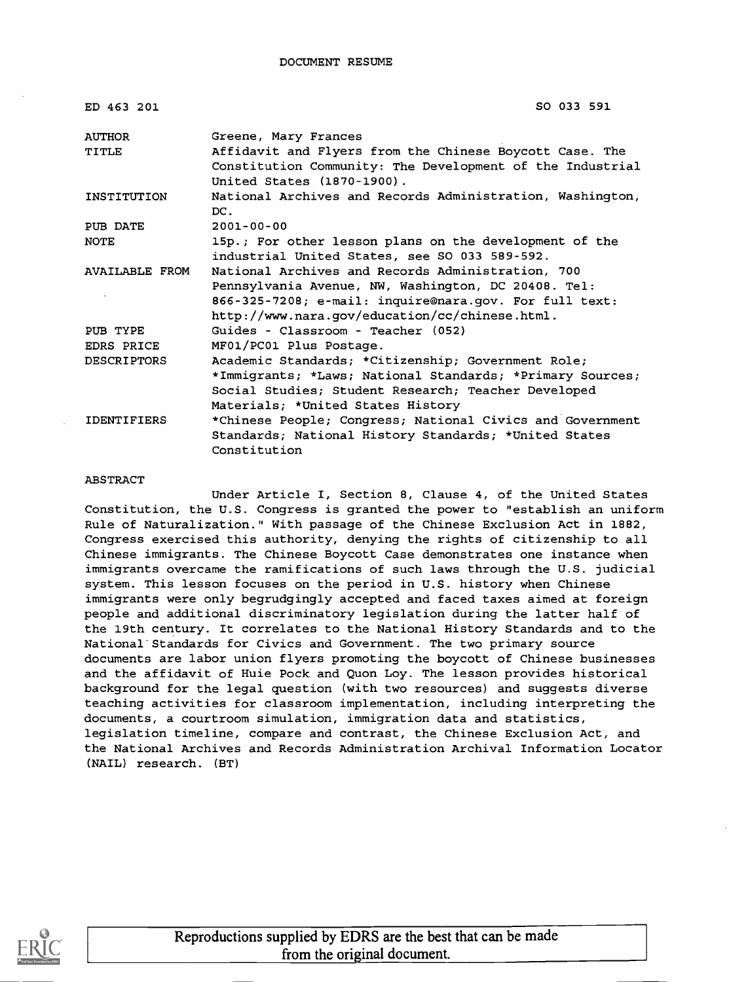#### DOCUMENT RESUME

| ED 463 201            | SO 033 591                                                |
|-----------------------|-----------------------------------------------------------|
| AUTHOR                | Greene, Mary Frances                                      |
| <b>TITLE</b>          | Affidavit and Flyers from the Chinese Boycott Case. The   |
|                       | Constitution Community: The Development of the Industrial |
|                       | United States (1870-1900).                                |
| INSTITUTION           | National Archives and Records Administration, Washington, |
|                       | DC.                                                       |
| PUB DATE              | $2001 - 00 - 00$                                          |
| <b>NOTE</b>           | 15p.; For other lesson plans on the development of the    |
|                       | industrial United States, see SO 033 589-592.             |
| <b>AVAILABLE FROM</b> | National Archives and Records Administration, 700         |
|                       | Pennsylvania Avenue, NW, Washington, DC 20408. Tel:       |
|                       | 866-325-7208; e-mail: inquire@nara.gov. For full text:    |
|                       | http://www.nara.gov/education/cc/chinese.html.            |
| PUB TYPE              | Guides - Classroom - Teacher (052)                        |
| EDRS PRICE            | MF01/PC01 Plus Postage.                                   |
| <b>DESCRIPTORS</b>    | Academic Standards; *Citizenship; Government Role;        |
|                       | *Immigrants; *Laws; National Standards; *Primary Sources; |
|                       | Social Studies; Student Research; Teacher Developed       |
|                       | Materials; *United States History                         |
| <b>IDENTIFIERS</b>    | *Chinese People; Congress; National Civics and Government |
|                       | Standards; National History Standards; *United States     |
|                       | Constitution                                              |

#### ABSTRACT

Under Article I, Section 8, Clause 4, of the United States Constitution, the U.S. Congress is granted the power to "establish an uniform Rule of Naturalization." With passage of the Chinese Exclusion Act in 1882, Congress exercised this authority, denying the rights of citizenship to all Chinese immigrants. The Chinese Boycott Case demonstrates one instance when immigrants overcame the ramifications of such laws through the U.S. judicial system. This lesson focuses on the period in U.S. history when Chinese immigrants were only begrudgingly accepted and faced taxes aimed at foreign people and additional discriminatory legislation during the latter half of the 19th century. It correlates to the National History Standards and to the National Standards for Civics and Government. The two primary source documents are labor union flyers promoting the boycott of Chinese businesses and the affidavit of Huie Pock and Quon Loy. The lesson provides historical background for the legal question (with two resources) and suggests diverse teaching activities for classroom implementation, including interpreting the documents, a courtroom simulation, immigration data and statistics, legislation timeline, compare and contrast, the Chinese Exclusion Act, and the National Archives and Records Administration Archival Information Locator (NAIL) research. (BT)

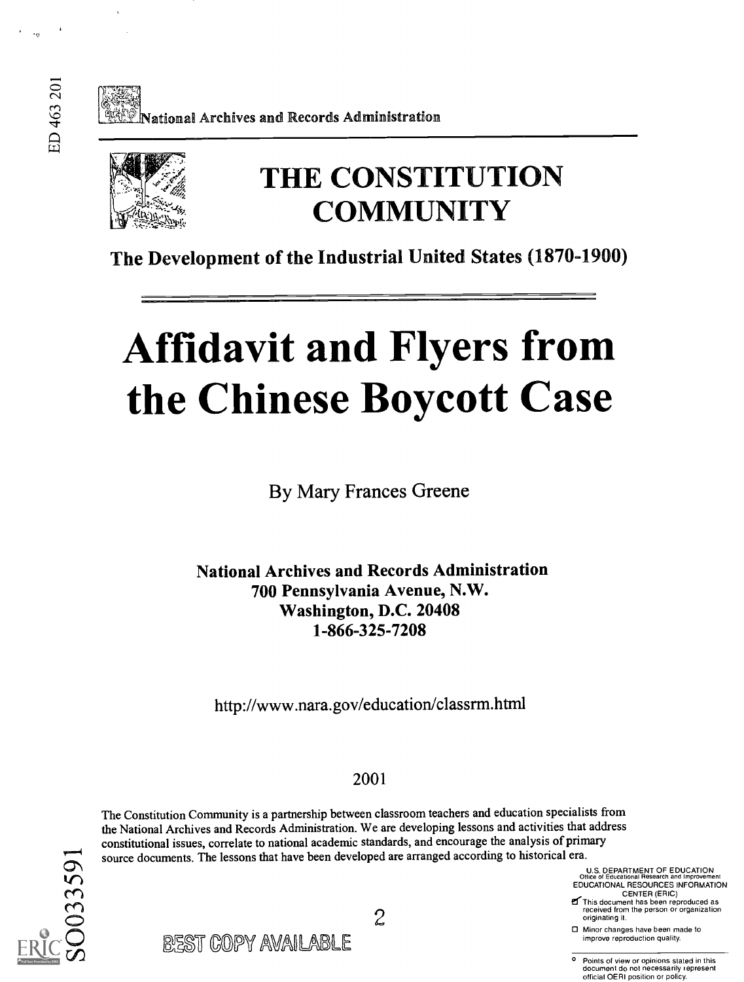Vational Archives and Records Administration



## THE CONSTITUTION **COMMUNITY**

The Development of the Industrial United States (1870-1900)

# Affidavit and Flyers from the Chinese Boycott Case

By Mary Frances Greene

National Archives and Records Administration 700 Pennsylvania Avenue, N.W. Washington, D.C. 20408 1-866-325-7208

http://www.nara.gov/education/classrm.html

#### 2001

The Constitution Community is a partnership between classroom teachers and education specialists from the National Archives and Records Administration. We are developing lessons and activities that address constitutional issues, correlate to national academic standards, and encourage the analysis of primary source documents. The lessons that have been developed are arranged according to historical era.

2

U.S. DEPARTMENT OF EDUCATION Office of Educational Research and Improvement EDUCATIONAL RESOURCES INFORMATION CENTER (ERIC)

**E** This document has been reproduced as received from the person or organization originating it.

0 Minor changes have been made to

Points of view or opinions stated in this document do not necessarily represent official OERI position or policy.



| BEST COPY AVAILABLE | □ Minor changes have been made to<br>improve reproduction quality. |
|---------------------|--------------------------------------------------------------------|
|                     |                                                                    |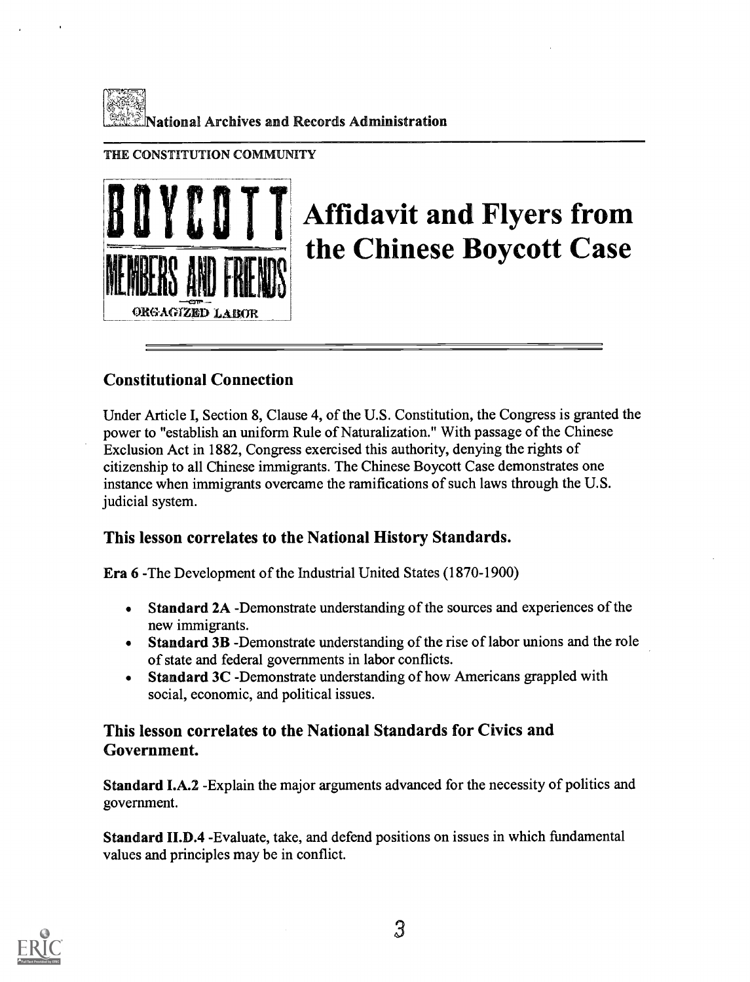

#### THE CONSTITUTION COMMUNITY



## Affidavit and Flyers from the Chinese Boycott Case

#### Constitutional Connection

Under Article I, Section 8, Clause 4, of the U.S. Constitution, the Congress is granted the power to "establish an uniform Rule of Naturalization." With passage of the Chinese Exclusion Act in 1882, Congress exercised this authority, denying the rights of citizenship to all Chinese immigrants. The Chinese Boycott Case demonstrates one instance when immigrants overcame the ramifications of such laws through the U.S. judicial system.

#### This lesson correlates to the National History Standards.

Era 6 -The Development of the Industrial United States (1870-1900)

- Standard 2A -Demonstrate understanding of the sources and experiences of the  $\bullet$ new immigrants.
- Standard 3B -Demonstrate understanding of the rise of labor unions and the role  $\bullet$ of state and federal governments in labor conflicts.
- Standard 3C -Demonstrate understanding of how Americans grappled with  $\bullet$ social, economic, and political issues.

#### This lesson correlates to the National Standards for Civics and Government.

Standard I.A.2 -Explain the major arguments advanced for the necessity of politics and government.

Standard II.D.4 -Evaluate, take, and defend positions on issues in which fundamental values and principles may be in conflict.

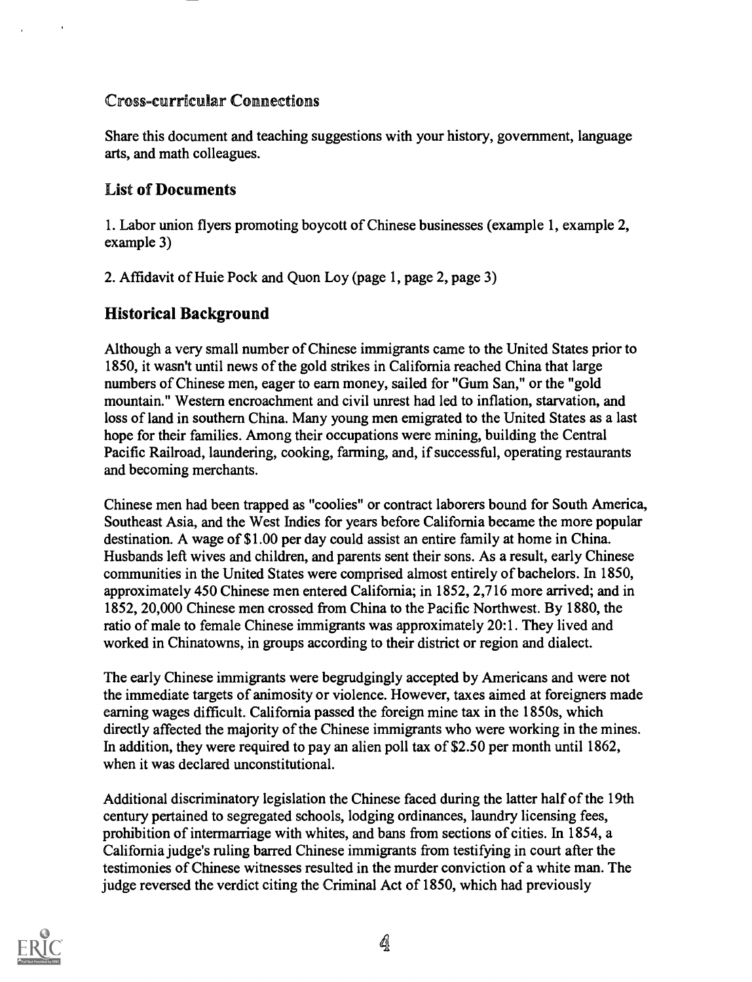#### Cross-curricular Connections

Share this document and teaching suggestions with your history, government, language arts, and math colleagues.

#### List of Documents

1. Labor union flyers promoting boycott of Chinese businesses (example 1, example 2, example 3)

2. Affidavit of Huie Pock and Quon Loy (page 1, page 2, page 3)

#### Historical Background

Although a very small number of Chinese immigrants came to the United States prior to 1850, it wasn't until news of the gold strikes in California reached China that large numbers of Chinese men, eager to earn money, sailed for "Gum San," or the "gold mountain." Western encroachment and civil unrest had led to inflation, starvation, and loss of land in southern China. Many young men emigrated to the United States as a last hope for their families. Among their occupations were mining, building the Central Pacific Railroad, laundering, cooking, farming, and, if successful, operating restaurants and becoming merchants.

Chinese men had been trapped as "coolies" or contract laborers bound for South America, Southeast Asia, and the West Indies for years before California became the more popular destination. A wage of \$1.00 per day could assist an entire family at home in China. Husbands left wives and children, and parents sent their sons. As a result, early Chinese communities in the United States were comprised almost entirely of bachelors. In 1850, approximately 450 Chinese men entered California; in 1852, 2,716 more arrived; and in 1852, 20,000 Chinese men crossed from China to the Pacific Northwest. By 1880, the ratio of male to female Chinese immigrants was approximately 20:1. They lived and worked in Chinatowns, in groups according to their district or region and dialect.

The early Chinese immigrants were begrudgingly accepted by Americans and were not the immediate targets of animosity or violence. However, taxes aimed at foreigners made earning wages difficult. California passed the foreign mine tax in the 1850s, which directly affected the majority of the Chinese immigrants who were working in the mines. In addition, they were required to pay an alien poll tax of \$2.50 per month until 1862, when it was declared unconstitutional.

Additional discriminatory legislation the Chinese faced during the latter half of the 19th century pertained to segregated schools, lodging ordinances, laundry licensing fees, prohibition of intermarriage with whites, and bans from sections of cities. In 1854, a California judge's ruling barred Chinese immigrants from testifying in court after the testimonies of Chinese witnesses resulted in the murder conviction of a white man. The judge reversed the verdict citing the Criminal Act of 1850, which had previously

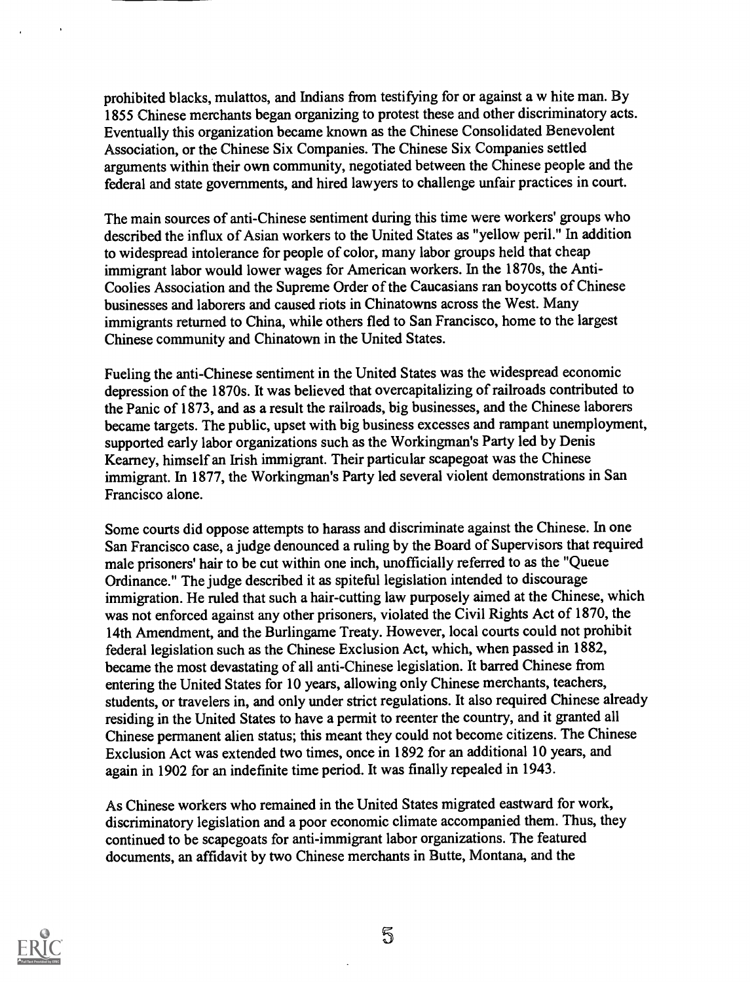prohibited blacks, mulattos, and Indians from testifying for or against a w hite man. By 1855 Chinese merchants began organizing to protest these and other discriminatory acts. Eventually this organization became known as the Chinese Consolidated Benevolent Association, or the Chinese Six Companies. The Chinese Six Companies settled arguments within their own community, negotiated between the Chinese people and the federal and state governments, and hired lawyers to challenge unfair practices in court.

The main sources of anti-Chinese sentiment during this time were workers' groups who described the influx of Asian workers to the United States as "yellow peril." In addition to widespread intolerance for people of color, many labor groups held that cheap immigrant labor would lower wages for American workers. In the 1870s, the Anti-Coolies Association and the Supreme Order of the Caucasians ran boycotts of Chinese businesses and laborers and caused riots in Chinatowns across the West. Many immigrants returned to China, while others fled to San Francisco, home to the largest Chinese community and Chinatown in the United States.

Fueling the anti-Chinese sentiment in the United States was the widespread economic depression of the 1870s. It was believed that overcapitalizing of railroads contributed to the Panic of 1873, and as a result the railroads, big businesses, and the Chinese laborers became targets. The public, upset with big business excesses and rampant unemployment, supported early labor organizations such as the Workingman's Party led by Denis Kearney, himself an Irish immigrant. Their particular scapegoat was the Chinese immigrant. In 1877, the Workingman's Party led several violent demonstrations in San Francisco alone.

Some courts did oppose attempts to harass and discriminate against the Chinese. In one San Francisco case, a judge denounced a ruling by the Board of Supervisors that required male prisoners' hair to be cut within one inch, unofficially referred to as the "Queue Ordinance." The judge described it as spiteful legislation intended to discourage immigration. He ruled that such a hair-cutting law purposely aimed at the Chinese, which was not enforced against any other prisoners, violated the Civil Rights Act of 1870, the 14th Amendment, and the Burlingame Treaty. However, local courts could not prohibit federal legislation such as the Chinese Exclusion Act, which, when passed in 1882, became the most devastating of all anti-Chinese legislation. It barred Chinese from entering the United States for 10 years, allowing only Chinese merchants, teachers, students, or travelers in, and only under strict regulations. It also required Chinese already residing in the United States to have a permit to reenter the country, and it granted all Chinese permanent alien status; this meant they could not become citizens. The Chinese Exclusion Act was extended two times, once in 1892 for an additional 10 years, and again in 1902 for an indefinite time period. It was finally repealed in 1943.

As Chinese workers who remained in the United States migrated eastward for work, discriminatory legislation and a poor economic climate accompanied them. Thus, they continued to be scapegoats for anti-immigrant labor organizations. The featured documents, an affidavit by two Chinese merchants in Butte, Montana, and the

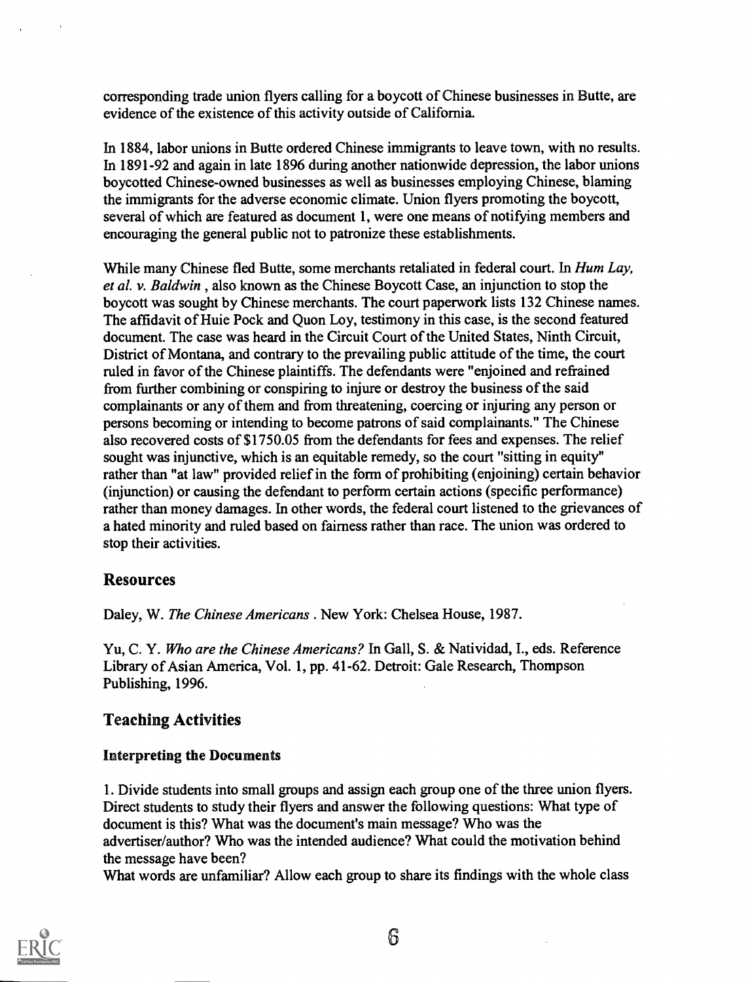corresponding trade union flyers calling for a boycott of Chinese businesses in Butte, are evidence of the existence of this activity outside of California.

In 1884, labor unions in Butte ordered Chinese immigrants to leave town, with no results. In 1891-92 and again in late 1896 during another nationwide depression, the labor unions boycotted Chinese-owned businesses as well as businesses employing Chinese, blaming the immigrants for the adverse economic climate. Union flyers promoting the boycott, several of which are featured as document 1, were one means of notifying members and encouraging the general public not to patronize these establishments.

While many Chinese fled Butte, some merchants retaliated in federal court. In *Hum Lay*, et al. v. Baldwin , also known as the Chinese Boycott Case, an injunction to stop the boycott was sought by Chinese merchants. The court paperwork lists 132 Chinese names. The affidavit of Huie Pock and Quon Loy, testimony in this case, is the second featured document. The case was heard in the Circuit Court of the United States, Ninth Circuit, District of Montana, and contrary to the prevailing public attitude of the time, the court ruled in favor of the Chinese plaintiffs. The defendants were "enjoined and refrained from further combining or conspiring to injure or destroy the business of the said complainants or any of them and from threatening, coercing or injuring any person or persons becoming or intending to become patrons of said complainants." The Chinese also recovered costs of \$1750.05 from the defendants for fees and expenses. The relief sought was injunctive, which is an equitable remedy, so the court "sitting in equity" rather than "at law" provided relief in the form of prohibiting (enjoining) certain behavior (injunction) or causing the defendant to perform certain actions (specific performance) rather than money damages. In other words, the federal court listened to the grievances of a hated minority and ruled based on fairness rather than race. The union was ordered to stop their activities.

#### Resources

Daley, W. The Chinese Americans . New York: Chelsea House, 1987.

Yu, C. Y. Who are the Chinese Americans? In Gall, S. & Natividad, I., eds. Reference Library of Asian America, Vol. 1, pp. 41-62. Detroit: Gale Research, Thompson Publishing, 1996.

#### Teaching Activities

#### Interpreting the Documents

1. Divide students into small groups and assign each group one of the three union flyers. Direct students to study their flyers and answer the following questions: What type of document is this? What was the document's main message? Who was the advertiser/author? Who was the intended audience? What could the motivation behind the message have been?

What words are unfamiliar? Allow each group to share its findings with the whole class

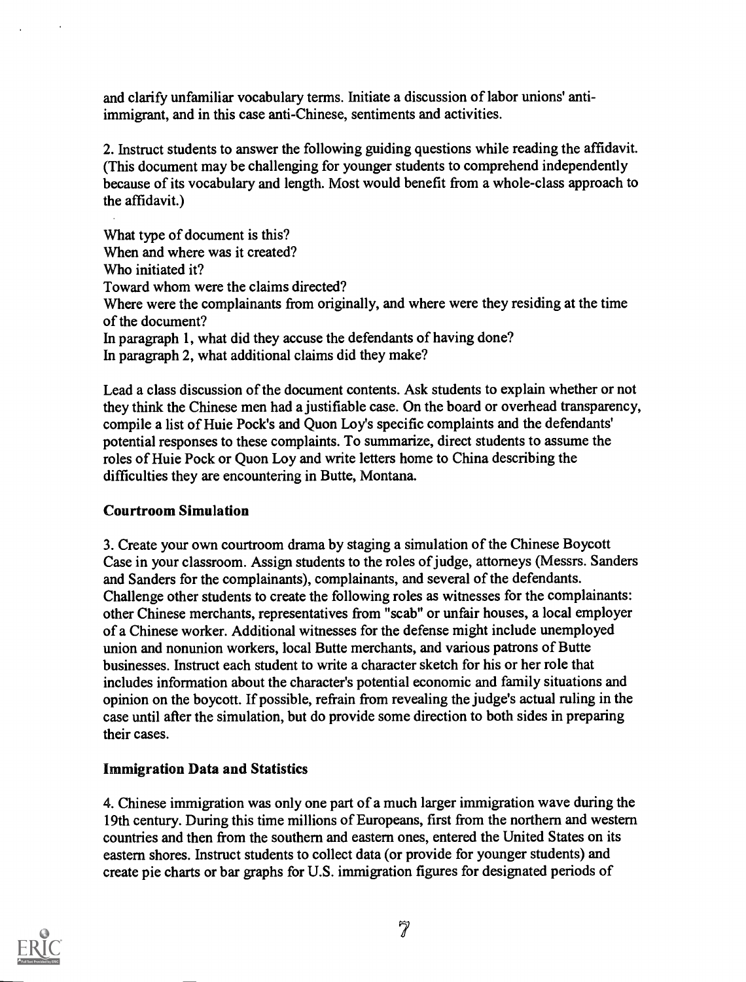and clarify unfamiliar vocabulary terms. Initiate a discussion of labor unions' antiimmigrant, and in this case anti-Chinese, sentiments and activities.

2. Instruct students to answer the following guiding questions while reading the affidavit. (This document may be challenging for younger students to comprehend independently because of its vocabulary and length. Most would benefit from a whole-class approach to the affidavit.)

What type of document is this? When and where was it created? Who initiated it? Toward whom were the claims directed? Where were the complainants from originally, and where were they residing at the time of the document? In paragraph 1, what did they accuse the defendants of having done? In paragraph 2, what additional claims did they make?

Lead a class discussion of the document contents. Ask students to explain whether or not they think the Chinese men had a justifiable case. On the board or overhead transparency, compile a list of Huie Pock's and Quon Loy's specific complaints and the defendants' potential responses to these complaints. To summarize, direct students to assume the roles of Huie Pock or Quon Loy and write letters home to China describing the difficulties they are encountering in Butte, Montana.

#### Courtroom Simulation

3. Create your own courtroom drama by staging a simulation of the Chinese Boycott Case in your classroom. Assign students to the roles of judge, attorneys (Messrs. Sanders and Sanders for the complainants), complainants, and several of the defendants. Challenge other students to create the following roles as witnesses for the complainants: other Chinese merchants, representatives from "scab" or unfair houses, a local employer of a Chinese worker. Additional witnesses for the defense might include unemployed union and nonunion workers, local Butte merchants, and various patrons of Butte businesses. Instruct each student to write a character sketch for his or her role that includes information about the character's potential economic and family situations and opinion on the boycott. If possible, refrain from revealing the judge's actual ruling in the case until after the simulation, but do provide some direction to both sides in preparing their cases.

#### Immigration Data and Statistics

4. Chinese immigration was only one part of a much larger immigration wave during the 19th century. During this time millions of Europeans, first from the northern and western countries and then from the southern and eastern ones, entered the United States on its eastern shores. Instruct students to collect data (or provide for younger students) and create pie charts or bar graphs for U.S. immigration figures for designated periods of

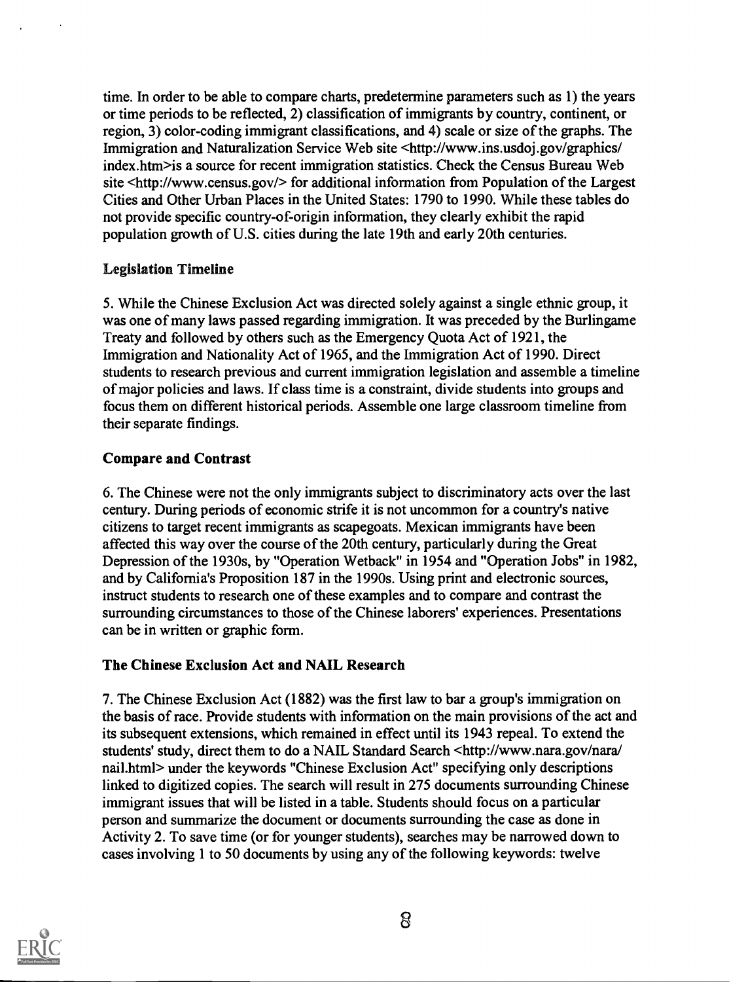time. In order to be able to compare charts, predetermine parameters such as 1) the years or time periods to be reflected, 2) classification of immigrants by country, continent, or region, 3) color-coding immigrant classifications, and 4) scale or size of the graphs. The Immigration and Naturalization Service Web site <http://www.ins.usdoj.gov/graphics/ index.htm>is a source for recent immigration statistics. Check the Census Bureau Web site <http://www.census.gov/> for additional information from Population of the Largest Cities and Other Urban Places in the United States: 1790 to 1990. While these tables do not provide specific country-of-origin information, they clearly exhibit the rapid population growth of U.S. cities during the late 19th and early 20th centuries.

#### Legislation Timeline

5. While the Chinese Exclusion Act was directed solely against a single ethnic group, it was one of many laws passed regarding immigration. It was preceded by the Burlingame Treaty and followed by others such as the Emergency Quota Act of 1921, the Immigration and Nationality Act of 1965, and the Immigration Act of 1990. Direct students to research previous and current immigration legislation and assemble a timeline of major policies and laws. If class time is a constraint, divide students into groups and focus them on different historical periods. Assemble one large classroom timeline from their separate findings.

#### Compare and Contrast

6. The Chinese were not the only immigants subject to discriminatory acts over the last century. During periods of economic strife it is not uncommon for a country's native citizens to target recent immigrants as scapegoats. Mexican immigrants have been affected this way over the course of the 20th century, particularly during the Great Depression of the 1930s, by "Operation Wetback" in 1954 and "Operation Jobs" in 1982, and by California's Proposition 187 in the 1990s. Using print and electronic sources, instruct students to research one of these examples and to compare and contrast the surrounding circumstances to those of the Chinese laborers' experiences. Presentations can be in written or graphic form.

#### The Chinese Exclusion Act and NAIL Research

7. The Chinese Exclusion Act (1882) was the first law to bar a group's immigation on the basis of race. Provide students with information on the main provisions of the act and its subsequent extensions, which remained in effect until its 1943 repeal. To extend the students' study, direct them to do a NAIL Standard Search <http://www.nara.gov/nara/ nail.html> under the keywords "Chinese Exclusion Act" specifying only descriptions linked to digitized copies. The search will result in 275 documents surrounding Chinese immigrant issues that will be listed in a table. Students should focus on a particular person and summarize the document or documents surrounding the case as done in Activity 2. To save time (or for younger students), searches may be narrowed down to cases involving 1 to 50 documents by using any of the following keywords: twelve

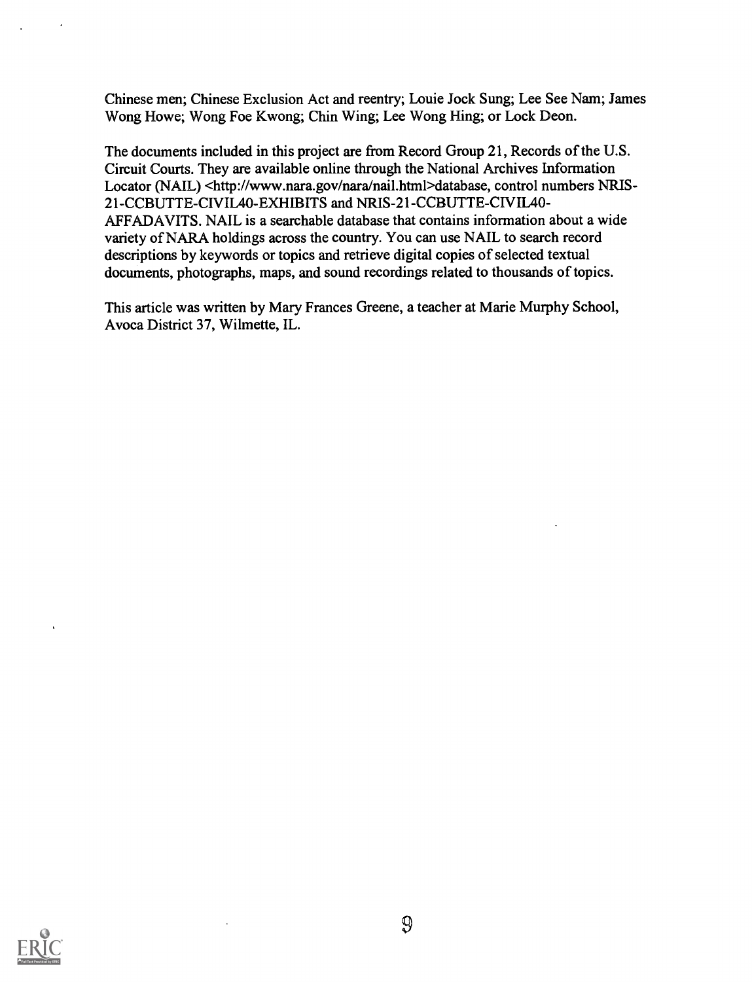Chinese men; Chinese Exclusion Act and reentry; Louie Jock Sung; Lee See Nam; James Wong Howe; Wong Foe Kwong; Chin Wing; Lee Wong Hing; or Lock Deon.

The documents included in this project are from Record Group 21, Records of the U.S. Circuit Courts. They are available online through the National Archives Information Locator (NAIL) <http://www.nara.gov/nara/nail.html>database, control numbers NRIS-21-CCBUTTE-CIVIL40-EXHIBITS and NRIS-21-CCBUTTE-CIVIL40-AFFADAVITS. NAIL is a searchable database that contains information about a wide variety of NARA holdings across the country. You can use NAIL to search record descriptions by keywords or topics and retrieve digital copies of selected textual documents, photographs, maps, and sound recordings related to thousands of topics.

This article was written by Mary Frances Greene, a teacher at Marie Murphy School, Avoca District 37, Wilmette, IL.

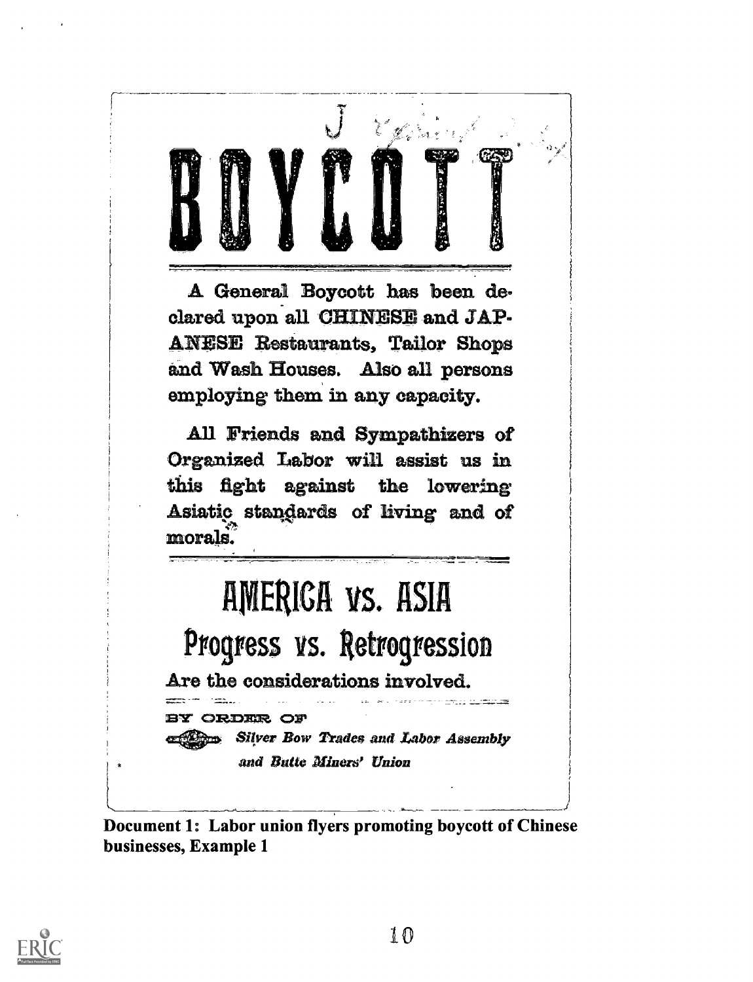A General Boycott has been declared upon all CHINESE and JAP-**ANESE Restaurants, Tailor Shops** and Wash Houses. Also all persons employing them in any capacity.

All Friends and Sympathizers of Organized Labor will assist us in this fight against the lowering Asiatic standards of living and of morals.

# AMERICA VS. ASIA

Progress vs. Retrogression

Are the considerations involved.

ORDER OF **Silver Bow Trades and Labor Assembly** 

and Butte Miners' Union

Document 1: Labor union flyers promoting boycott of Chinese businesses, Example 1

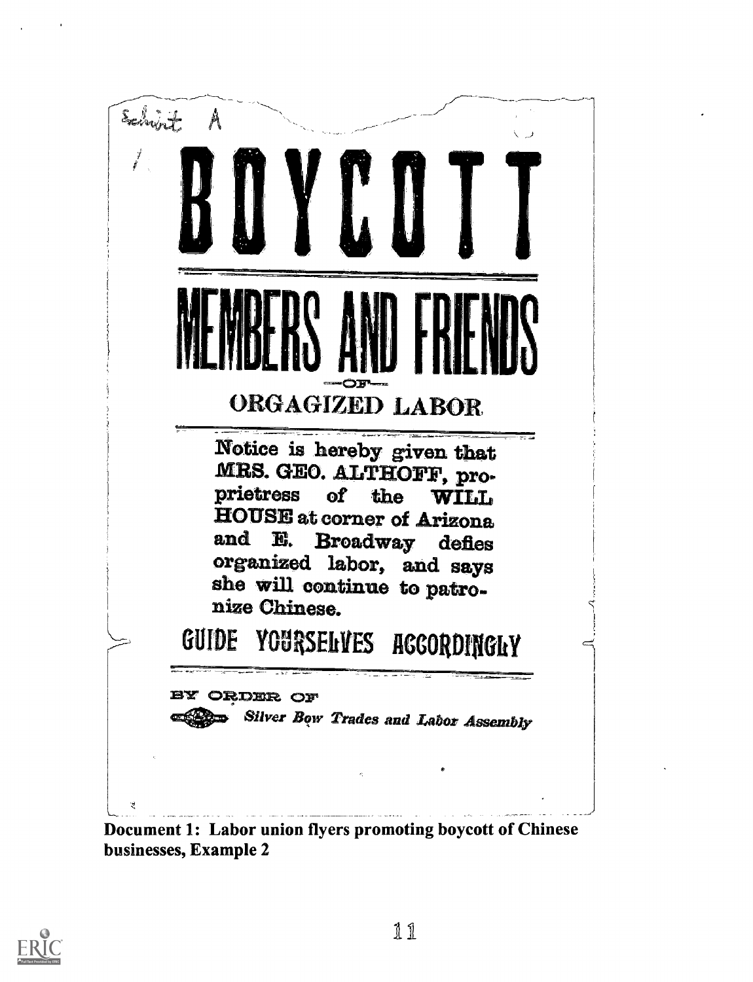



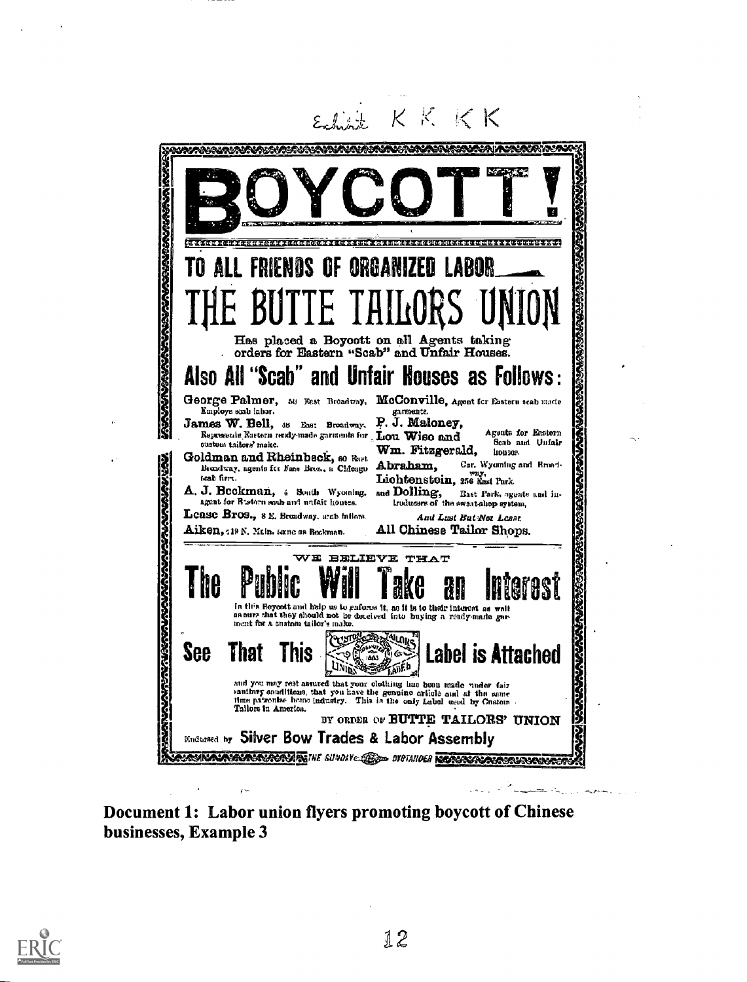

Document 1: Labor union flyers promoting boycott of Chinese businesses, Example 3

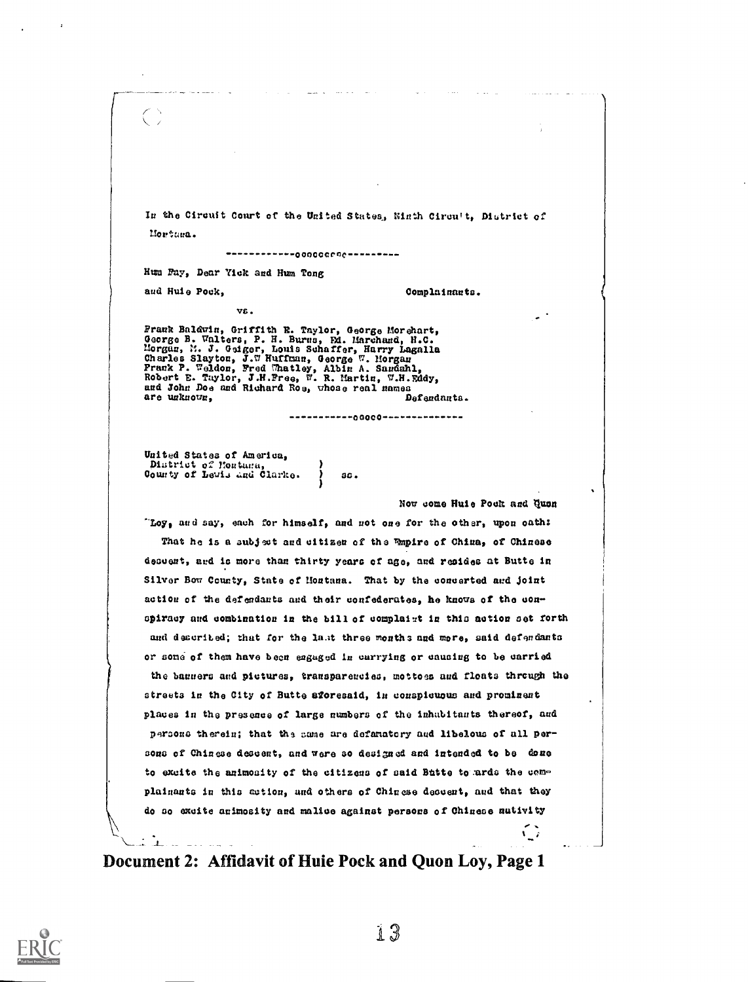In the Circuit Court of the United States, Winth Circuit, District of Mortura.

------------000000000----------

Hum Fay, Dear Yick and Hum Tong

and Huie Pock.

Complainants.

va.

Frank Baldwin, Griffith E. Taylor, George Morehart, George B. Walters, P. H. Burns, Ed. Marchand, H.C.<br>Morgan, M. J. Geiger, Louis Schaffer, Harry Lagalla<br>Charles Slayton, J.W Huffman, George W. Morgan<br>Frank P. Weldon, Fre are unknown, Defendants.

------------00000--------------

 $ac.$ 

United States of America, District of Hostana,<br>County of Levis and Clarke.

Now come Huie Pock and Quen

"Loy, and say, each for himself, and not one for the other, upon oath: That he is a subject and citizer of the Empire of China, of Chinese descent, and is more than thirty years of age, and resides at Butte in Silver Bow County, State of Montana. That by the concerted and joint action of the defendants and their confederates, he knows of the conspiracy and combination in the bill of complaint in this action set forth and described; that for the last three months and more, said defendants or some of them have been engaged in carrying or causing to be carried the banners and pictures, transparencies, mottoes and floats through the streets in the City of Butte aforesaid, in conspicuous and prominent places in the presence of large numbers of the inhabitants thereof, and persons therein; that the same are defanatory and libelous of all persons of Chinese descent, and were so designed and intended to be done to excite the animosity of the citizens of said Butte to ards the complainants in this astion, and others of Chinese decesst, and that they do so excite animosity and malice against persons of Chinese nutivity  $\mathbb{C}$ 

Document 2: Affidavit of Huie Pock and Quon Loy, Page 1



Ťμ.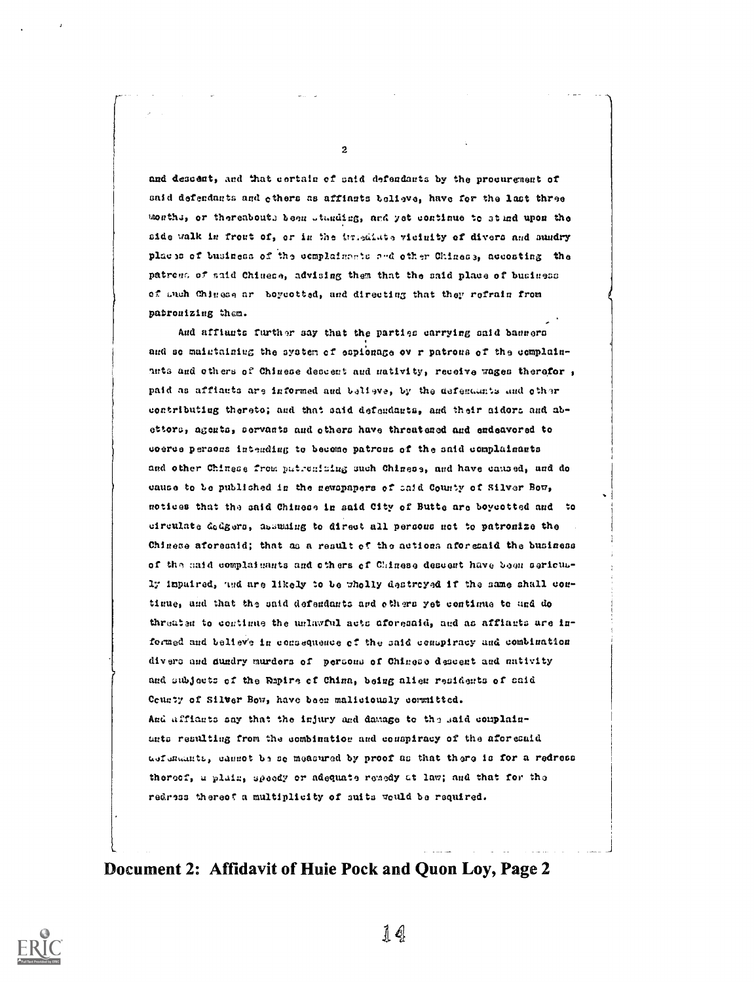2

and descent, and that certain of said defendants by the procurement of said defendants and others as affinats believe, have for the last three mosthe, or thereabouth been standing, and yet continue to stind upon the side walk in front of, or in the immediate vicinity of divers and sandry places of business of the complainants and other Chinese, accosting the patress of said Chinese, advising them that the said place of business of auch Chinese ar boycotted, and directing that they refrain from patronizing them.

And affiants further say that the parties carrying said banners and so maintaining the system of espionage ov r patrons of the complainants and others of Chinese descent and mativity, receive wages therefor, paid as affiants are informed and believe, by the defendants and other contributing thereto; and that said defendants, and their aidors and abettors, agents, servants and others have threatened and endeavored to coerce persons intending to become patrons of the said complainants and other Chinese from patronizing such Chinese, and have caused, and do cause to be published in the newspapers of said County of Silver Bow, motices that the said Chinese in said City of Butte are boycotted and to circulate dedgers, assuming to direct all persons not to patronize the Chinese aforesaid; that as a result of the actions aforesaid the business of the said complaisants and others of Chinese descent have been seriously inpuired, and are likely to be wholly destroyed if the same shall contimue, and that the said defendants and others yet continue to and do threaten to continue the unlawful acts aforesaid, and as affiants are informed and believe in consequence of the said conspiracy and combination divers and dundry murders of persons of Chinese descent and mativity and subjects of the Rapine of China, being alien residents of said County of Silver Bow, have been maliciously committed. And affiants say that the injury and damage to the said complainunts resulting from the combination and conspiracy of the aforesaid aufundants, cannot be so measured by proof as that there is for a redress thereof, a plain, speedy or adequate remedy at law; and that for the redress thereof a multiplicity of suits would be required.

Document 2: Affidavit of Huie Pock and Quon Loy, Page 2

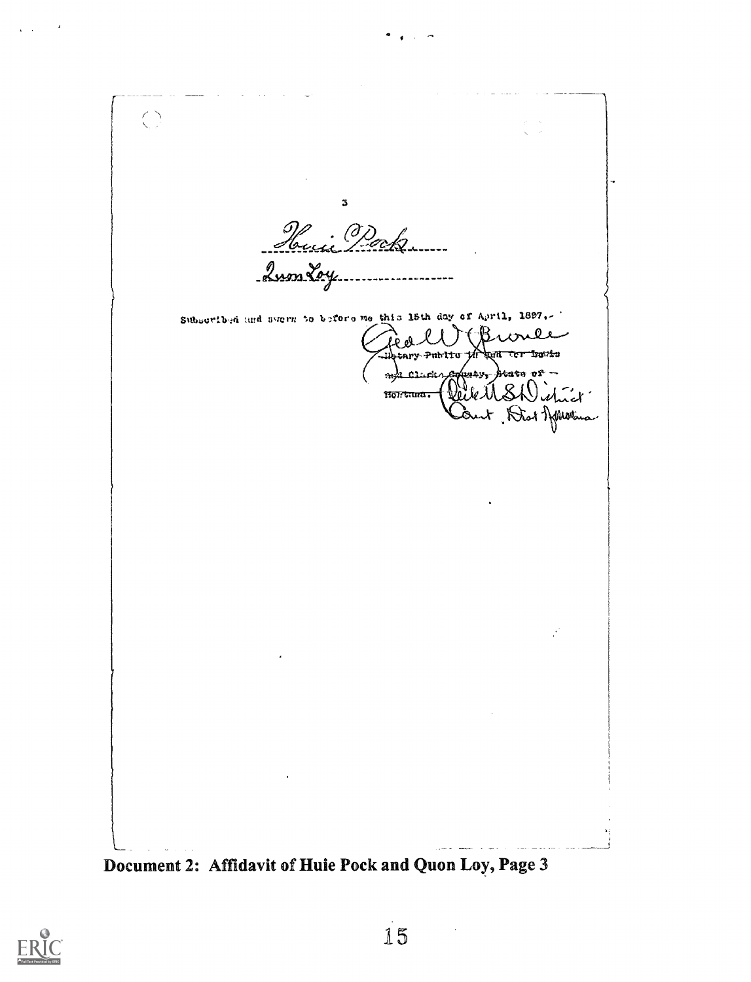$\bigcirc$  $\mathbf 3$ Hui Pock 2nos Loy Subscribed and swern to before me this 15th day of April, 1897,-Public yn Francis Joseph 10 -<br>Ceile MSWishich clacks mili Nontana. Document 2: Affidavit of Huie Pock and Quon Loy, Page 3